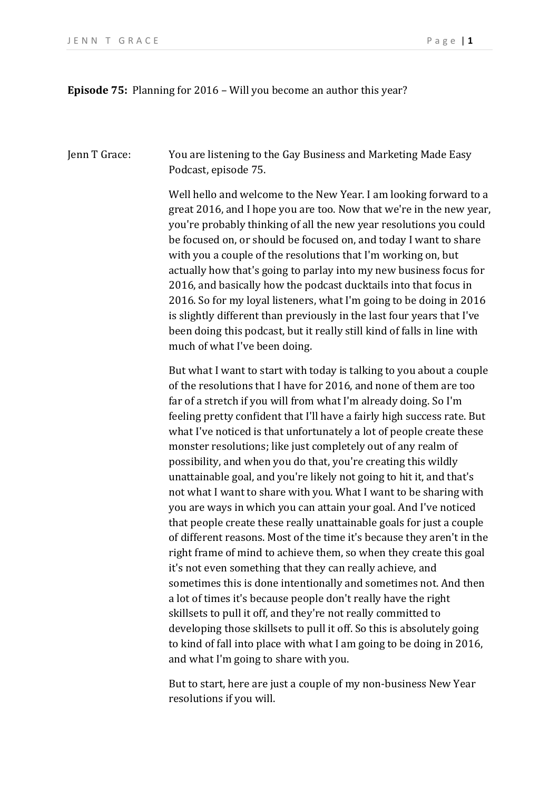**Episode 75:** Planning for 2016 – Will you become an author this year?

Jenn T Grace: You are listening to the Gay Business and Marketing Made Easy Podcast, episode 75.

> Well hello and welcome to the New Year. I am looking forward to a great 2016, and I hope you are too. Now that we're in the new year, you're probably thinking of all the new year resolutions you could be focused on, or should be focused on, and today I want to share with you a couple of the resolutions that I'm working on, but actually how that's going to parlay into my new business focus for 2016, and basically how the podcast ducktails into that focus in 2016. So for my loyal listeners, what I'm going to be doing in 2016 is slightly different than previously in the last four years that I've been doing this podcast, but it really still kind of falls in line with much of what I've been doing.

But what I want to start with today is talking to you about a couple of the resolutions that I have for 2016, and none of them are too far of a stretch if you will from what I'm already doing. So I'm feeling pretty confident that I'll have a fairly high success rate. But what I've noticed is that unfortunately a lot of people create these monster resolutions; like just completely out of any realm of possibility, and when you do that, you're creating this wildly unattainable goal, and you're likely not going to hit it, and that's not what I want to share with you. What I want to be sharing with you are ways in which you can attain your goal. And I've noticed that people create these really unattainable goals for just a couple of different reasons. Most of the time it's because they aren't in the right frame of mind to achieve them, so when they create this goal it's not even something that they can really achieve, and sometimes this is done intentionally and sometimes not. And then a lot of times it's because people don't really have the right skillsets to pull it off, and they're not really committed to developing those skillsets to pull it off. So this is absolutely going to kind of fall into place with what I am going to be doing in 2016, and what I'm going to share with you.

But to start, here are just a couple of my non-business New Year resolutions if you will.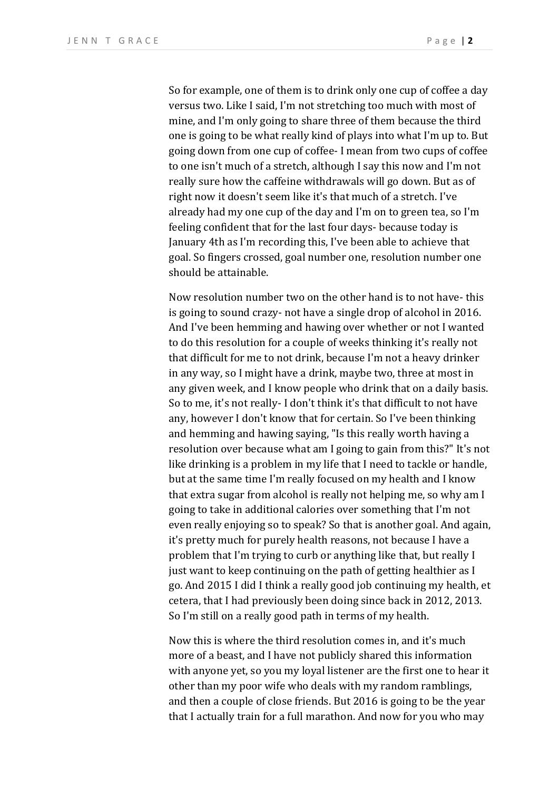So for example, one of them is to drink only one cup of coffee a day versus two. Like I said, I'm not stretching too much with most of mine, and I'm only going to share three of them because the third one is going to be what really kind of plays into what I'm up to. But going down from one cup of coffee- I mean from two cups of coffee to one isn't much of a stretch, although I say this now and I'm not really sure how the caffeine withdrawals will go down. But as of right now it doesn't seem like it's that much of a stretch. I've already had my one cup of the day and I'm on to green tea, so I'm feeling confident that for the last four days- because today is January 4th as I'm recording this, I've been able to achieve that goal. So fingers crossed, goal number one, resolution number one should be attainable.

Now resolution number two on the other hand is to not have- this is going to sound crazy- not have a single drop of alcohol in 2016. And I've been hemming and hawing over whether or not I wanted to do this resolution for a couple of weeks thinking it's really not that difficult for me to not drink, because I'm not a heavy drinker in any way, so I might have a drink, maybe two, three at most in any given week, and I know people who drink that on a daily basis. So to me, it's not really- I don't think it's that difficult to not have any, however I don't know that for certain. So I've been thinking and hemming and hawing saying, "Is this really worth having a resolution over because what am I going to gain from this?" It's not like drinking is a problem in my life that I need to tackle or handle, but at the same time I'm really focused on my health and I know that extra sugar from alcohol is really not helping me, so why am I going to take in additional calories over something that I'm not even really enjoying so to speak? So that is another goal. And again, it's pretty much for purely health reasons, not because I have a problem that I'm trying to curb or anything like that, but really I just want to keep continuing on the path of getting healthier as I go. And 2015 I did I think a really good job continuing my health, et cetera, that I had previously been doing since back in 2012, 2013. So I'm still on a really good path in terms of my health.

Now this is where the third resolution comes in, and it's much more of a beast, and I have not publicly shared this information with anyone yet, so you my loyal listener are the first one to hear it other than my poor wife who deals with my random ramblings, and then a couple of close friends. But 2016 is going to be the year that I actually train for a full marathon. And now for you who may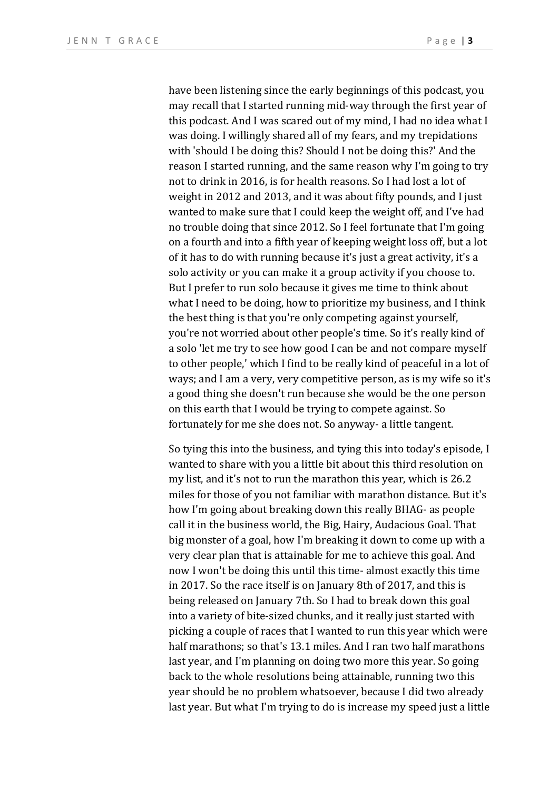have been listening since the early beginnings of this podcast, you may recall that I started running mid-way through the first year of this podcast. And I was scared out of my mind, I had no idea what I was doing. I willingly shared all of my fears, and my trepidations with 'should I be doing this? Should I not be doing this?' And the reason I started running, and the same reason why I'm going to try not to drink in 2016, is for health reasons. So I had lost a lot of weight in 2012 and 2013, and it was about fifty pounds, and I just wanted to make sure that I could keep the weight off, and I've had no trouble doing that since 2012. So I feel fortunate that I'm going on a fourth and into a fifth year of keeping weight loss off, but a lot of it has to do with running because it's just a great activity, it's a solo activity or you can make it a group activity if you choose to. But I prefer to run solo because it gives me time to think about what I need to be doing, how to prioritize my business, and I think the best thing is that you're only competing against yourself, you're not worried about other people's time. So it's really kind of a solo 'let me try to see how good I can be and not compare myself to other people,' which I find to be really kind of peaceful in a lot of ways; and I am a very, very competitive person, as is my wife so it's a good thing she doesn't run because she would be the one person on this earth that I would be trying to compete against. So fortunately for me she does not. So anyway- a little tangent.

So tying this into the business, and tying this into today's episode, I wanted to share with you a little bit about this third resolution on my list, and it's not to run the marathon this year, which is 26.2 miles for those of you not familiar with marathon distance. But it's how I'm going about breaking down this really BHAG- as people call it in the business world, the Big, Hairy, Audacious Goal. That big monster of a goal, how I'm breaking it down to come up with a very clear plan that is attainable for me to achieve this goal. And now I won't be doing this until this time- almost exactly this time in 2017. So the race itself is on January 8th of 2017, and this is being released on January 7th. So I had to break down this goal into a variety of bite-sized chunks, and it really just started with picking a couple of races that I wanted to run this year which were half marathons; so that's 13.1 miles. And I ran two half marathons last year, and I'm planning on doing two more this year. So going back to the whole resolutions being attainable, running two this year should be no problem whatsoever, because I did two already last year. But what I'm trying to do is increase my speed just a little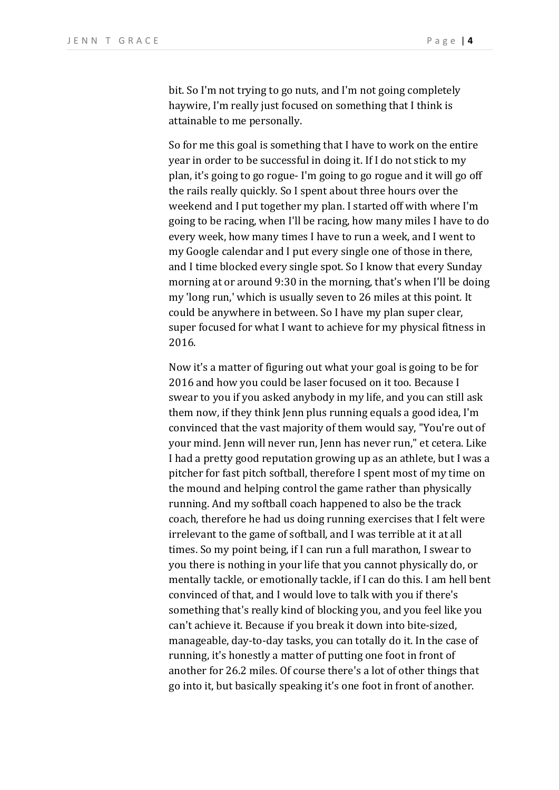bit. So I'm not trying to go nuts, and I'm not going completely haywire, I'm really just focused on something that I think is attainable to me personally.

So for me this goal is something that I have to work on the entire year in order to be successful in doing it. If I do not stick to my plan, it's going to go rogue- I'm going to go rogue and it will go off the rails really quickly. So I spent about three hours over the weekend and I put together my plan. I started off with where I'm going to be racing, when I'll be racing, how many miles I have to do every week, how many times I have to run a week, and I went to my Google calendar and I put every single one of those in there, and I time blocked every single spot. So I know that every Sunday morning at or around 9:30 in the morning, that's when I'll be doing my 'long run,' which is usually seven to 26 miles at this point. It could be anywhere in between. So I have my plan super clear, super focused for what I want to achieve for my physical fitness in 2016.

Now it's a matter of figuring out what your goal is going to be for 2016 and how you could be laser focused on it too. Because I swear to you if you asked anybody in my life, and you can still ask them now, if they think Jenn plus running equals a good idea, I'm convinced that the vast majority of them would say, "You're out of your mind. Jenn will never run, Jenn has never run," et cetera. Like I had a pretty good reputation growing up as an athlete, but I was a pitcher for fast pitch softball, therefore I spent most of my time on the mound and helping control the game rather than physically running. And my softball coach happened to also be the track coach, therefore he had us doing running exercises that I felt were irrelevant to the game of softball, and I was terrible at it at all times. So my point being, if I can run a full marathon, I swear to you there is nothing in your life that you cannot physically do, or mentally tackle, or emotionally tackle, if I can do this. I am hell bent convinced of that, and I would love to talk with you if there's something that's really kind of blocking you, and you feel like you can't achieve it. Because if you break it down into bite-sized, manageable, day-to-day tasks, you can totally do it. In the case of running, it's honestly a matter of putting one foot in front of another for 26.2 miles. Of course there's a lot of other things that go into it, but basically speaking it's one foot in front of another.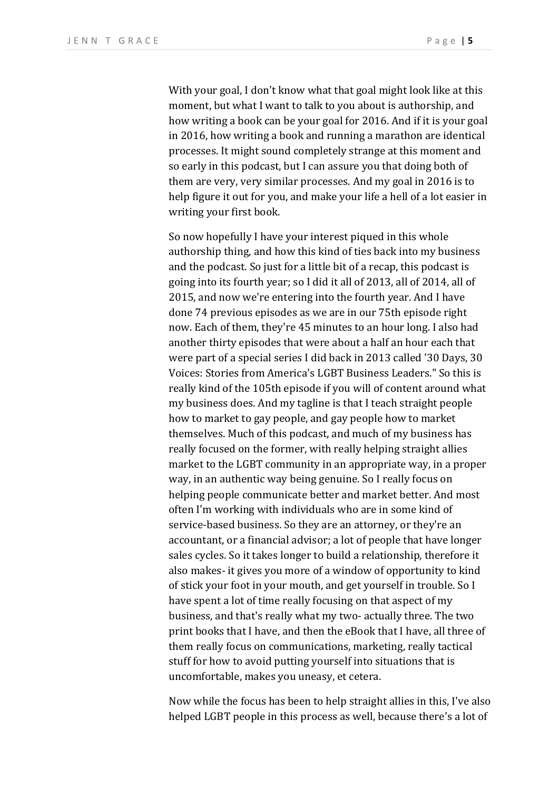With your goal, I don't know what that goal might look like at this moment, but what I want to talk to you about is authorship, and how writing a book can be your goal for 2016. And if it is your goal in 2016, how writing a book and running a marathon are identical processes. It might sound completely strange at this moment and so early in this podcast, but I can assure you that doing both of them are very, very similar processes. And my goal in 2016 is to help figure it out for you, and make your life a hell of a lot easier in writing your first book.

So now hopefully I have your interest piqued in this whole authorship thing, and how this kind of ties back into my business and the podcast. So just for a little bit of a recap, this podcast is going into its fourth year; so I did it all of 2013, all of 2014, all of 2015, and now we're entering into the fourth year. And I have done 74 previous episodes as we are in our 75th episode right now. Each of them, they're 45 minutes to an hour long. I also had another thirty episodes that were about a half an hour each that were part of a special series I did back in 2013 called '30 Days, 30 Voices: Stories from America's LGBT Business Leaders." So this is really kind of the 105th episode if you will of content around what my business does. And my tagline is that I teach straight people how to market to gay people, and gay people how to market themselves. Much of this podcast, and much of my business has really focused on the former, with really helping straight allies market to the LGBT community in an appropriate way, in a proper way, in an authentic way being genuine. So I really focus on helping people communicate better and market better. And most often I'm working with individuals who are in some kind of service-based business. So they are an attorney, or they're an accountant, or a financial advisor; a lot of people that have longer sales cycles. So it takes longer to build a relationship, therefore it also makes- it gives you more of a window of opportunity to kind of stick your foot in your mouth, and get yourself in trouble. So I have spent a lot of time really focusing on that aspect of my business, and that's really what my two- actually three. The two print books that I have, and then the eBook that I have, all three of them really focus on communications, marketing, really tactical stuff for how to avoid putting yourself into situations that is uncomfortable, makes you uneasy, et cetera.

Now while the focus has been to help straight allies in this, I've also helped LGBT people in this process as well, because there's a lot of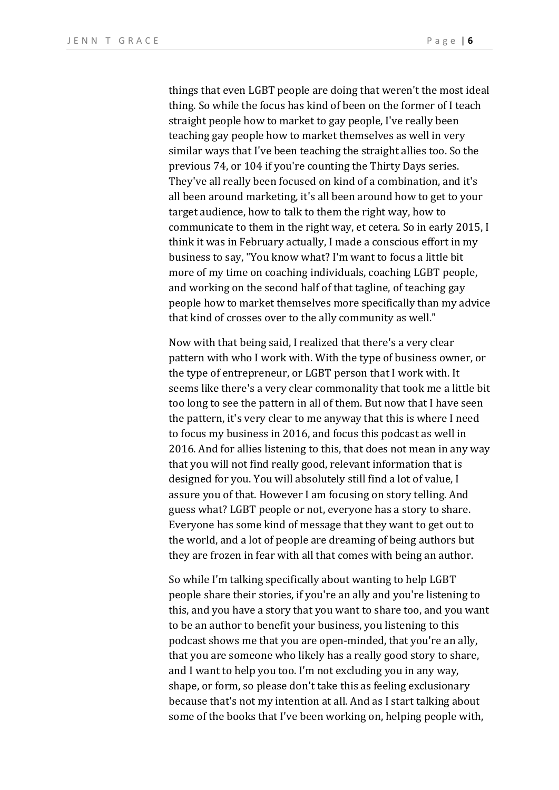things that even LGBT people are doing that weren't the most ideal thing. So while the focus has kind of been on the former of I teach straight people how to market to gay people. I've really been teaching gay people how to market themselves as well in very similar ways that I've been teaching the straight allies too. So the previous 74, or 104 if you're counting the Thirty Days series. They've all really been focused on kind of a combination, and it's all been around marketing, it's all been around how to get to your target audience, how to talk to them the right way, how to communicate to them in the right way, et cetera. So in early 2015, I think it was in February actually, I made a conscious effort in my business to say, "You know what? I'm want to focus a little bit more of my time on coaching individuals, coaching LGBT people, and working on the second half of that tagline, of teaching gay people how to market themselves more specifically than my advice that kind of crosses over to the ally community as well."

Now with that being said, I realized that there's a very clear pattern with who I work with. With the type of business owner, or the type of entrepreneur, or LGBT person that I work with. It seems like there's a very clear commonality that took me a little bit too long to see the pattern in all of them. But now that I have seen the pattern, it's very clear to me anyway that this is where I need to focus my business in 2016, and focus this podcast as well in 2016. And for allies listening to this, that does not mean in any way that you will not find really good, relevant information that is designed for you. You will absolutely still find a lot of value, I assure you of that. However I am focusing on story telling. And guess what? LGBT people or not, everyone has a story to share. Everyone has some kind of message that they want to get out to the world, and a lot of people are dreaming of being authors but they are frozen in fear with all that comes with being an author.

So while I'm talking specifically about wanting to help LGBT people share their stories, if you're an ally and you're listening to this, and you have a story that you want to share too, and you want to be an author to benefit your business, you listening to this podcast shows me that you are open-minded, that you're an ally, that you are someone who likely has a really good story to share, and I want to help you too. I'm not excluding you in any way, shape, or form, so please don't take this as feeling exclusionary because that's not my intention at all. And as I start talking about some of the books that I've been working on, helping people with,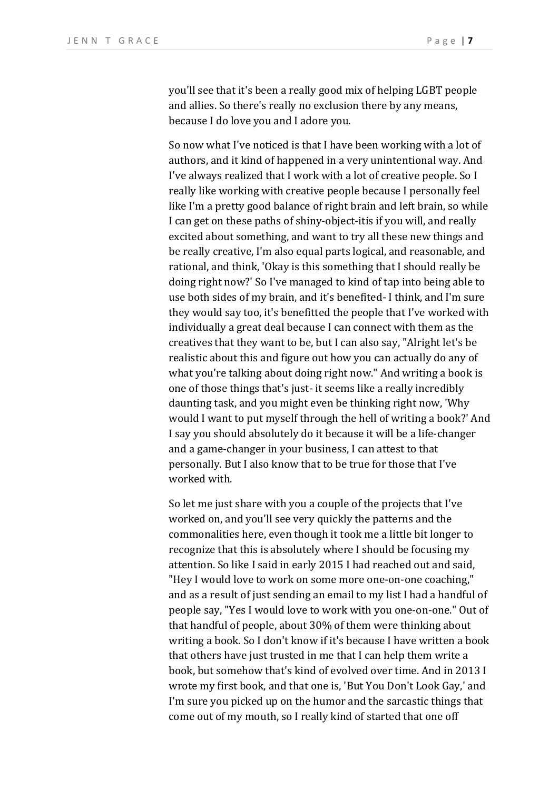you'll see that it's been a really good mix of helping LGBT people and allies. So there's really no exclusion there by any means, because I do love you and I adore you.

So now what I've noticed is that I have been working with a lot of authors, and it kind of happened in a very unintentional way. And I've always realized that I work with a lot of creative people. So I really like working with creative people because I personally feel like I'm a pretty good balance of right brain and left brain, so while I can get on these paths of shiny-object-itis if you will, and really excited about something, and want to try all these new things and be really creative, I'm also equal parts logical, and reasonable, and rational, and think, 'Okay is this something that I should really be doing right now?' So I've managed to kind of tap into being able to use both sides of my brain, and it's benefited- I think, and I'm sure they would say too, it's benefitted the people that I've worked with individually a great deal because I can connect with them as the creatives that they want to be, but I can also say, "Alright let's be realistic about this and figure out how you can actually do any of what you're talking about doing right now." And writing a book is one of those things that's just- it seems like a really incredibly daunting task, and you might even be thinking right now, 'Why would I want to put myself through the hell of writing a book?' And I say you should absolutely do it because it will be a life-changer and a game-changer in your business, I can attest to that personally. But I also know that to be true for those that I've worked with.

So let me just share with you a couple of the projects that I've worked on, and you'll see very quickly the patterns and the commonalities here, even though it took me a little bit longer to recognize that this is absolutely where I should be focusing my attention. So like I said in early 2015 I had reached out and said, "Hey I would love to work on some more one-on-one coaching," and as a result of just sending an email to my list I had a handful of people say, "Yes I would love to work with you one-on-one." Out of that handful of people, about  $30\%$  of them were thinking about writing a book. So I don't know if it's because I have written a book that others have just trusted in me that I can help them write a book, but somehow that's kind of evolved over time. And in 2013 I wrote my first book, and that one is, 'But You Don't Look Gay,' and I'm sure you picked up on the humor and the sarcastic things that come out of my mouth, so I really kind of started that one off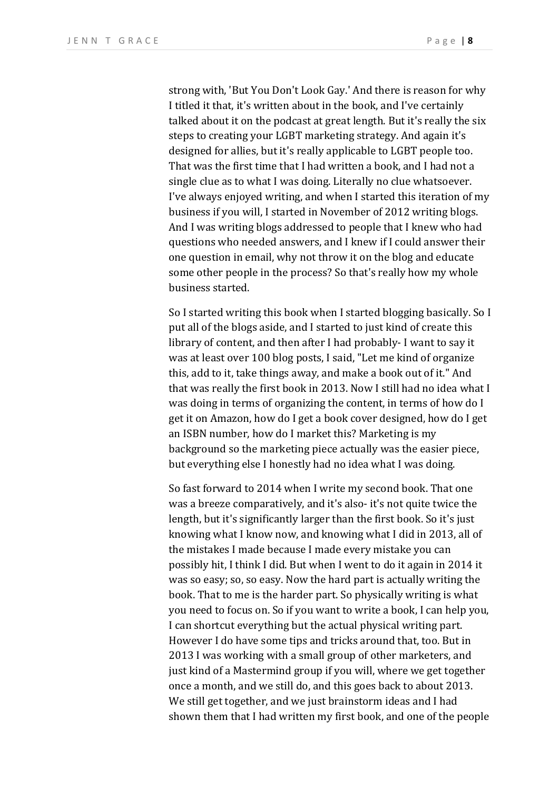strong with, 'But You Don't Look Gay.' And there is reason for why I titled it that, it's written about in the book, and I've certainly talked about it on the podcast at great length. But it's really the six steps to creating your LGBT marketing strategy. And again it's designed for allies, but it's really applicable to LGBT people too. That was the first time that I had written a book, and I had not a single clue as to what I was doing. Literally no clue whatsoever. I've always enjoyed writing, and when I started this iteration of my business if you will, I started in November of 2012 writing blogs. And I was writing blogs addressed to people that I knew who had questions who needed answers, and I knew if I could answer their one question in email, why not throw it on the blog and educate some other people in the process? So that's really how my whole business started.

So I started writing this book when I started blogging basically. So I put all of the blogs aside, and I started to just kind of create this library of content, and then after I had probably- I want to say it was at least over 100 blog posts, I said, "Let me kind of organize this, add to it, take things away, and make a book out of it." And that was really the first book in 2013. Now I still had no idea what I was doing in terms of organizing the content, in terms of how do I get it on Amazon, how do I get a book cover designed, how do I get an ISBN number, how do I market this? Marketing is my background so the marketing piece actually was the easier piece, but everything else I honestly had no idea what I was doing.

So fast forward to 2014 when I write my second book. That one was a breeze comparatively, and it's also- it's not quite twice the length, but it's significantly larger than the first book. So it's just knowing what I know now, and knowing what I did in 2013, all of the mistakes I made because I made every mistake you can possibly hit, I think I did. But when I went to do it again in 2014 it was so easy; so, so easy. Now the hard part is actually writing the book. That to me is the harder part. So physically writing is what you need to focus on. So if you want to write a book, I can help you, I can shortcut everything but the actual physical writing part. However I do have some tips and tricks around that, too. But in 2013 I was working with a small group of other marketers, and just kind of a Mastermind group if you will, where we get together once a month, and we still do, and this goes back to about 2013. We still get together, and we just brainstorm ideas and I had shown them that I had written my first book, and one of the people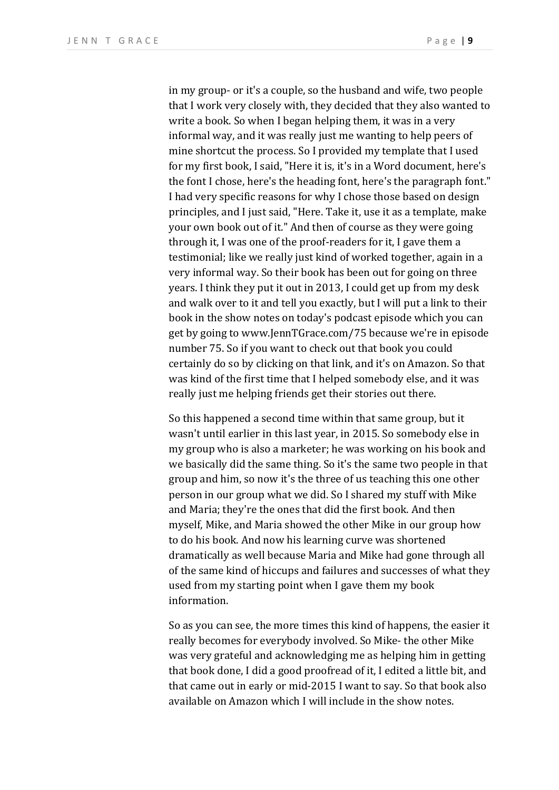in my group- or it's a couple, so the husband and wife, two people that I work very closely with, they decided that they also wanted to write a book. So when I began helping them, it was in a very informal way, and it was really just me wanting to help peers of mine shortcut the process. So I provided my template that I used for my first book, I said, "Here it is, it's in a Word document, here's the font I chose, here's the heading font, here's the paragraph font." I had very specific reasons for why I chose those based on design principles, and I just said, "Here. Take it, use it as a template, make your own book out of it." And then of course as they were going through it, I was one of the proof-readers for it, I gave them a testimonial; like we really just kind of worked together, again in a very informal way. So their book has been out for going on three years. I think they put it out in 2013, I could get up from my desk and walk over to it and tell you exactly, but I will put a link to their book in the show notes on today's podcast episode which you can get by going to www.JennTGrace.com/75 because we're in episode number 75. So if you want to check out that book you could certainly do so by clicking on that link, and it's on Amazon. So that was kind of the first time that I helped somebody else, and it was really just me helping friends get their stories out there.

So this happened a second time within that same group, but it wasn't until earlier in this last year, in 2015. So somebody else in my group who is also a marketer; he was working on his book and we basically did the same thing. So it's the same two people in that group and him, so now it's the three of us teaching this one other person in our group what we did. So I shared my stuff with Mike and Maria; they're the ones that did the first book. And then myself, Mike, and Maria showed the other Mike in our group how to do his book. And now his learning curve was shortened dramatically as well because Maria and Mike had gone through all of the same kind of hiccups and failures and successes of what they used from my starting point when I gave them my book information.

So as you can see, the more times this kind of happens, the easier it really becomes for everybody involved. So Mike- the other Mike was very grateful and acknowledging me as helping him in getting that book done, I did a good proofread of it, I edited a little bit, and that came out in early or mid-2015 I want to say. So that book also available on Amazon which I will include in the show notes.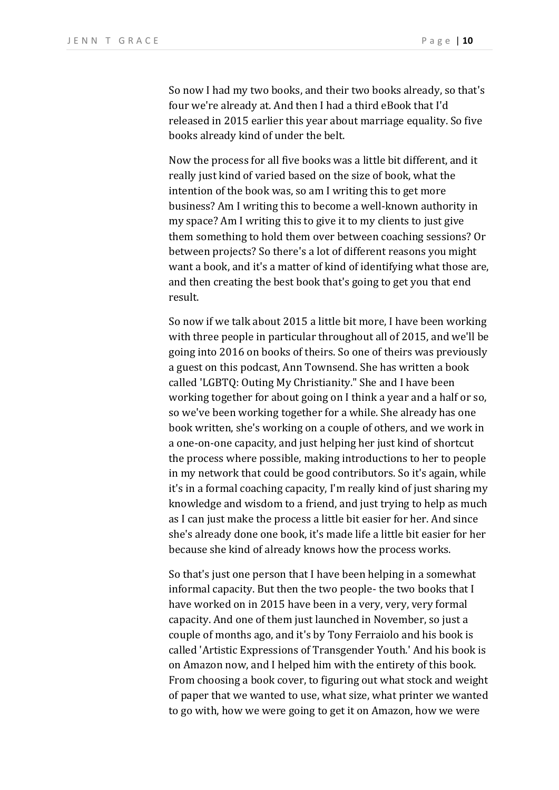So now I had my two books, and their two books already, so that's four we're already at. And then I had a third eBook that I'd released in 2015 earlier this year about marriage equality. So five books already kind of under the belt.

Now the process for all five books was a little bit different, and it really just kind of varied based on the size of book, what the intention of the book was, so am I writing this to get more business? Am I writing this to become a well-known authority in my space? Am I writing this to give it to my clients to just give them something to hold them over between coaching sessions? Or between projects? So there's a lot of different reasons you might want a book, and it's a matter of kind of identifying what those are, and then creating the best book that's going to get you that end result.

So now if we talk about 2015 a little bit more, I have been working with three people in particular throughout all of 2015, and we'll be going into 2016 on books of theirs. So one of theirs was previously a guest on this podcast, Ann Townsend. She has written a book called 'LGBTQ: Outing My Christianity." She and I have been working together for about going on I think a year and a half or so, so we've been working together for a while. She already has one book written, she's working on a couple of others, and we work in a one-on-one capacity, and just helping her just kind of shortcut the process where possible, making introductions to her to people in my network that could be good contributors. So it's again, while it's in a formal coaching capacity, I'm really kind of just sharing my knowledge and wisdom to a friend, and just trying to help as much as I can just make the process a little bit easier for her. And since she's already done one book, it's made life a little bit easier for her because she kind of already knows how the process works.

So that's just one person that I have been helping in a somewhat informal capacity. But then the two people- the two books that I have worked on in 2015 have been in a very, very, very formal capacity. And one of them just launched in November, so just a couple of months ago, and it's by Tony Ferraiolo and his book is called 'Artistic Expressions of Transgender Youth.' And his book is on Amazon now, and I helped him with the entirety of this book. From choosing a book cover, to figuring out what stock and weight of paper that we wanted to use, what size, what printer we wanted to go with, how we were going to get it on Amazon, how we were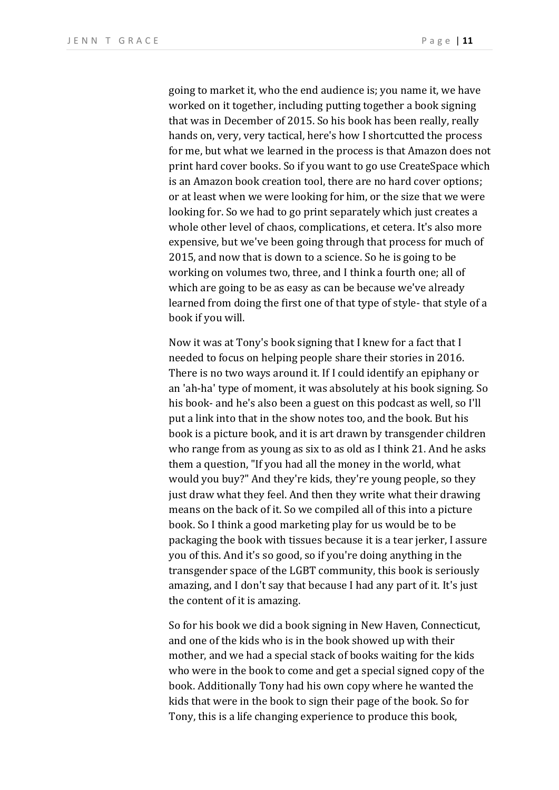going to market it, who the end audience is; you name it, we have worked on it together, including putting together a book signing that was in December of 2015. So his book has been really, really hands on, very, very tactical, here's how I shortcutted the process for me, but what we learned in the process is that Amazon does not print hard cover books. So if you want to go use CreateSpace which is an Amazon book creation tool, there are no hard cover options; or at least when we were looking for him, or the size that we were looking for. So we had to go print separately which just creates a whole other level of chaos, complications, et cetera. It's also more expensive, but we've been going through that process for much of 2015, and now that is down to a science. So he is going to be working on volumes two, three, and I think a fourth one; all of which are going to be as easy as can be because we've already learned from doing the first one of that type of style- that style of a book if you will.

Now it was at Tony's book signing that I knew for a fact that I needed to focus on helping people share their stories in 2016. There is no two ways around it. If I could identify an epiphany or an 'ah-ha' type of moment, it was absolutely at his book signing. So his book- and he's also been a guest on this podcast as well, so I'll put a link into that in the show notes too, and the book. But his book is a picture book, and it is art drawn by transgender children who range from as young as six to as old as I think 21. And he asks them a question, "If you had all the money in the world, what would you buy?" And they're kids, they're young people, so they just draw what they feel. And then they write what their drawing means on the back of it. So we compiled all of this into a picture book. So I think a good marketing play for us would be to be packaging the book with tissues because it is a tear jerker. I assure you of this. And it's so good, so if you're doing anything in the transgender space of the LGBT community, this book is seriously amazing, and I don't say that because I had any part of it. It's just the content of it is amazing.

So for his book we did a book signing in New Haven, Connecticut, and one of the kids who is in the book showed up with their mother, and we had a special stack of books waiting for the kids who were in the book to come and get a special signed copy of the book. Additionally Tony had his own copy where he wanted the kids that were in the book to sign their page of the book. So for Tony, this is a life changing experience to produce this book,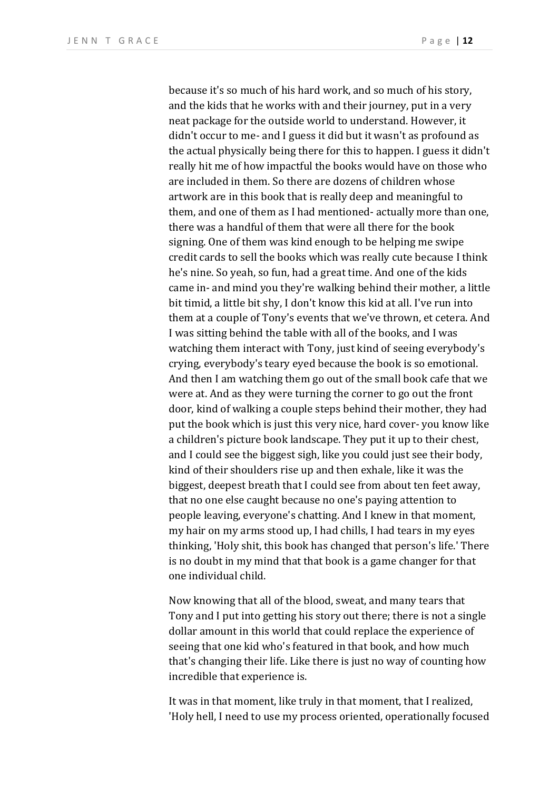because it's so much of his hard work, and so much of his story, and the kids that he works with and their journey, put in a very neat package for the outside world to understand. However, it didn't occur to me- and I guess it did but it wasn't as profound as the actual physically being there for this to happen. I guess it didn't really hit me of how impactful the books would have on those who are included in them. So there are dozens of children whose artwork are in this book that is really deep and meaningful to them, and one of them as I had mentioned- actually more than one, there was a handful of them that were all there for the book signing. One of them was kind enough to be helping me swipe credit cards to sell the books which was really cute because I think he's nine. So yeah, so fun, had a great time. And one of the kids came in- and mind you they're walking behind their mother, a little bit timid, a little bit shy, I don't know this kid at all. I've run into them at a couple of Tony's events that we've thrown, et cetera. And I was sitting behind the table with all of the books, and I was watching them interact with Tony, just kind of seeing everybody's crying, everybody's teary eyed because the book is so emotional. And then I am watching them go out of the small book cafe that we were at. And as they were turning the corner to go out the front door, kind of walking a couple steps behind their mother, they had put the book which is just this very nice, hard cover- you know like a children's picture book landscape. They put it up to their chest, and I could see the biggest sigh, like you could just see their body, kind of their shoulders rise up and then exhale, like it was the biggest, deepest breath that I could see from about ten feet away, that no one else caught because no one's paying attention to people leaving, everyone's chatting. And I knew in that moment, my hair on my arms stood up, I had chills, I had tears in my eyes thinking, 'Holy shit, this book has changed that person's life.' There is no doubt in my mind that that book is a game changer for that one individual child.

Now knowing that all of the blood, sweat, and many tears that Tony and I put into getting his story out there; there is not a single dollar amount in this world that could replace the experience of seeing that one kid who's featured in that book, and how much that's changing their life. Like there is just no way of counting how incredible that experience is.

It was in that moment, like truly in that moment, that I realized, 'Holy hell, I need to use my process oriented, operationally focused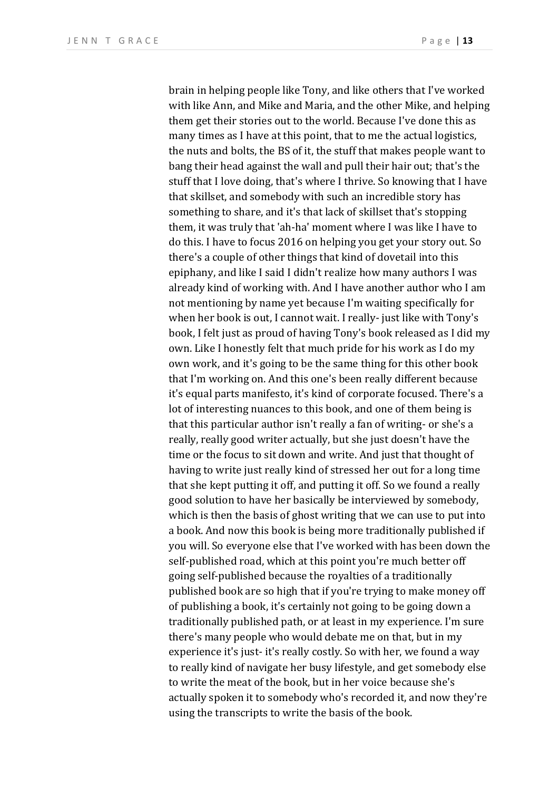brain in helping people like Tony, and like others that I've worked with like Ann, and Mike and Maria, and the other Mike, and helping them get their stories out to the world. Because I've done this as many times as I have at this point, that to me the actual logistics, the nuts and bolts, the BS of it, the stuff that makes people want to bang their head against the wall and pull their hair out; that's the stuff that I love doing, that's where I thrive. So knowing that I have that skillset, and somebody with such an incredible story has something to share, and it's that lack of skillset that's stopping them, it was truly that 'ah-ha' moment where I was like I have to do this. I have to focus 2016 on helping you get your story out. So there's a couple of other things that kind of dovetail into this epiphany, and like I said I didn't realize how many authors I was already kind of working with. And I have another author who I am not mentioning by name yet because I'm waiting specifically for when her book is out, I cannot wait. I really- just like with Tony's book, I felt just as proud of having Tony's book released as I did my own. Like I honestly felt that much pride for his work as I do my own work, and it's going to be the same thing for this other book that I'm working on. And this one's been really different because it's equal parts manifesto, it's kind of corporate focused. There's a lot of interesting nuances to this book, and one of them being is that this particular author isn't really a fan of writing- or she's a really, really good writer actually, but she just doesn't have the time or the focus to sit down and write. And just that thought of having to write just really kind of stressed her out for a long time that she kept putting it off, and putting it off. So we found a really good solution to have her basically be interviewed by somebody, which is then the basis of ghost writing that we can use to put into a book. And now this book is being more traditionally published if you will. So everyone else that I've worked with has been down the self-published road, which at this point you're much better off going self-published because the royalties of a traditionally published book are so high that if you're trying to make money off of publishing a book, it's certainly not going to be going down a traditionally published path, or at least in my experience. I'm sure there's many people who would debate me on that, but in my experience it's just- it's really costly. So with her, we found a way to really kind of navigate her busy lifestyle, and get somebody else to write the meat of the book, but in her voice because she's actually spoken it to somebody who's recorded it, and now they're using the transcripts to write the basis of the book.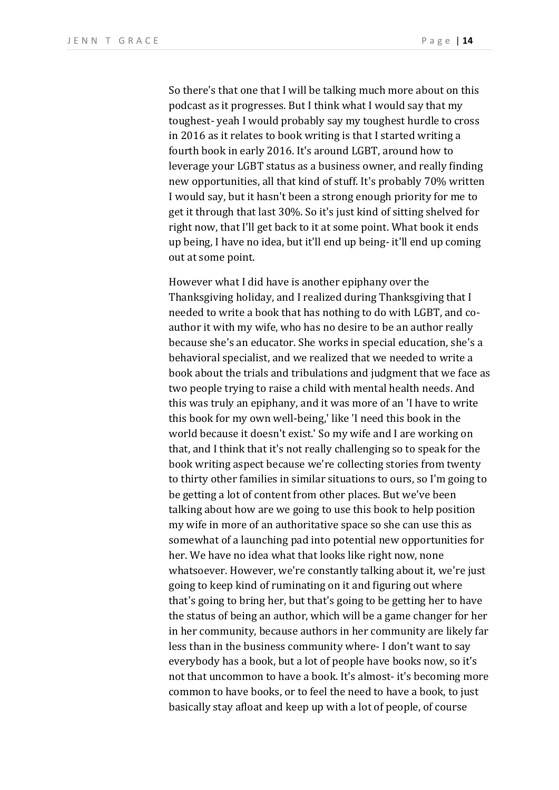So there's that one that I will be talking much more about on this podcast as it progresses. But I think what I would say that my toughest- yeah I would probably say my toughest hurdle to cross in 2016 as it relates to book writing is that I started writing a fourth book in early 2016. It's around LGBT, around how to leverage your LGBT status as a business owner, and really finding new opportunities, all that kind of stuff. It's probably 70% written I would say, but it hasn't been a strong enough priority for me to get it through that last 30%. So it's just kind of sitting shelved for right now, that I'll get back to it at some point. What book it ends up being, I have no idea, but it'll end up being- it'll end up coming out at some point.

However what I did have is another epiphany over the Thanksgiving holiday, and I realized during Thanksgiving that I needed to write a book that has nothing to do with LGBT, and coauthor it with my wife, who has no desire to be an author really because she's an educator. She works in special education, she's a behavioral specialist, and we realized that we needed to write a book about the trials and tribulations and judgment that we face as two people trying to raise a child with mental health needs. And this was truly an epiphany, and it was more of an 'I have to write this book for my own well-being,' like 'I need this book in the world because it doesn't exist.' So my wife and I are working on that, and I think that it's not really challenging so to speak for the book writing aspect because we're collecting stories from twenty to thirty other families in similar situations to ours, so I'm going to be getting a lot of content from other places. But we've been talking about how are we going to use this book to help position my wife in more of an authoritative space so she can use this as somewhat of a launching pad into potential new opportunities for her. We have no idea what that looks like right now, none whatsoever. However, we're constantly talking about it, we're just going to keep kind of ruminating on it and figuring out where that's going to bring her, but that's going to be getting her to have the status of being an author, which will be a game changer for her in her community, because authors in her community are likely far less than in the business community where- I don't want to say everybody has a book, but a lot of people have books now, so it's not that uncommon to have a book. It's almost- it's becoming more common to have books, or to feel the need to have a book, to just basically stay afloat and keep up with a lot of people, of course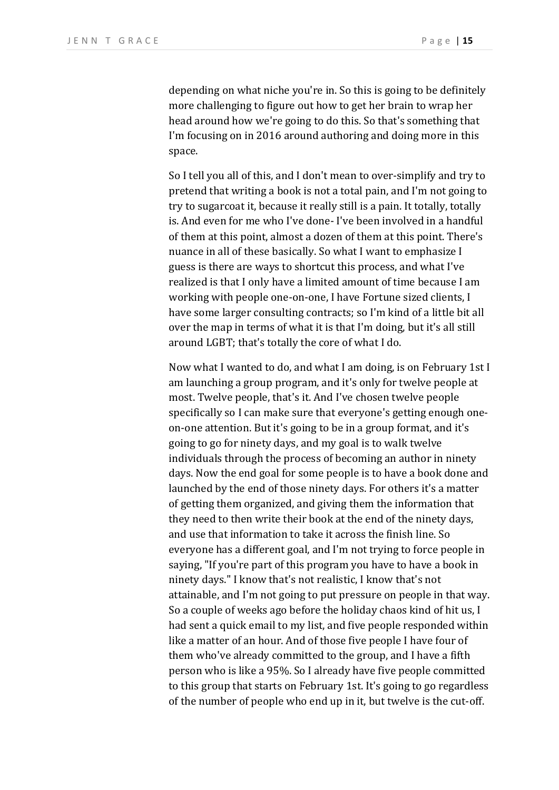depending on what niche you're in. So this is going to be definitely more challenging to figure out how to get her brain to wrap her head around how we're going to do this. So that's something that I'm focusing on in 2016 around authoring and doing more in this space. 

So I tell you all of this, and I don't mean to over-simplify and try to pretend that writing a book is not a total pain, and I'm not going to try to sugarcoat it, because it really still is a pain. It totally, totally is. And even for me who I've done- I've been involved in a handful of them at this point, almost a dozen of them at this point. There's nuance in all of these basically. So what I want to emphasize I guess is there are ways to shortcut this process, and what I've realized is that I only have a limited amount of time because I am working with people one-on-one, I have Fortune sized clients, I have some larger consulting contracts; so I'm kind of a little bit all over the map in terms of what it is that I'm doing, but it's all still around LGBT; that's totally the core of what I do.

Now what I wanted to do, and what I am doing, is on February 1st I am launching a group program, and it's only for twelve people at most. Twelve people, that's it. And I've chosen twelve people specifically so I can make sure that everyone's getting enough oneon-one attention. But it's going to be in a group format, and it's going to go for ninety days, and my goal is to walk twelve individuals through the process of becoming an author in ninety days. Now the end goal for some people is to have a book done and launched by the end of those ninety days. For others it's a matter of getting them organized, and giving them the information that they need to then write their book at the end of the ninety days, and use that information to take it across the finish line. So everyone has a different goal, and I'm not trying to force people in saying, "If you're part of this program you have to have a book in ninety days." I know that's not realistic, I know that's not attainable, and I'm not going to put pressure on people in that way. So a couple of weeks ago before the holiday chaos kind of hit us, I had sent a quick email to my list, and five people responded within like a matter of an hour. And of those five people I have four of them who've already committed to the group, and I have a fifth person who is like a 95%. So I already have five people committed to this group that starts on February 1st. It's going to go regardless of the number of people who end up in it, but twelve is the cut-off.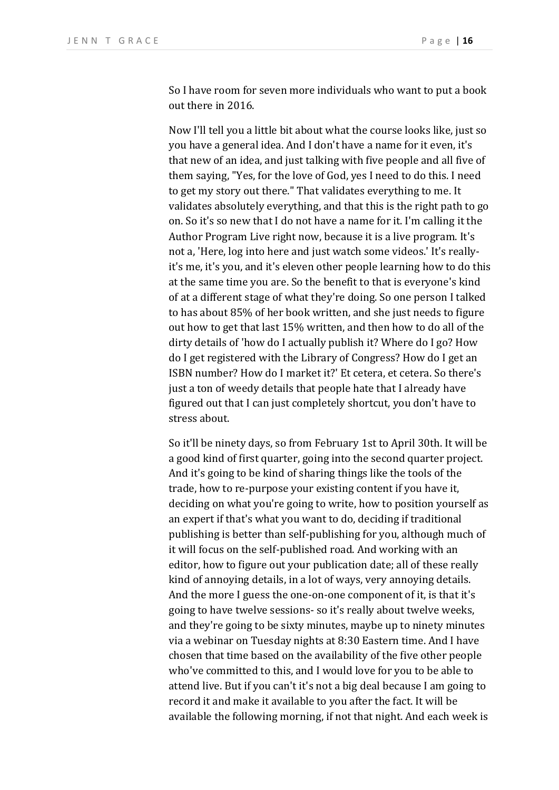So I have room for seven more individuals who want to put a book out there in 2016.

Now I'll tell you a little bit about what the course looks like, just so you have a general idea. And I don't have a name for it even, it's that new of an idea, and just talking with five people and all five of them saying, "Yes, for the love of God, yes I need to do this. I need to get my story out there." That validates everything to me. It validates absolutely everything, and that this is the right path to go on. So it's so new that I do not have a name for it. I'm calling it the Author Program Live right now, because it is a live program. It's not a, 'Here, log into here and just watch some videos.' It's reallyit's me, it's you, and it's eleven other people learning how to do this at the same time you are. So the benefit to that is everyone's kind of at a different stage of what they're doing. So one person I talked to has about 85% of her book written, and she just needs to figure out how to get that last 15% written, and then how to do all of the dirty details of 'how do I actually publish it? Where do I go? How do I get registered with the Library of Congress? How do I get an ISBN number? How do I market it?' Et cetera, et cetera. So there's just a ton of weedy details that people hate that I already have figured out that I can just completely shortcut, you don't have to stress about.

So it'll be ninety days, so from February 1st to April 30th. It will be a good kind of first quarter, going into the second quarter project. And it's going to be kind of sharing things like the tools of the trade, how to re-purpose your existing content if you have it, deciding on what you're going to write, how to position yourself as an expert if that's what you want to do, deciding if traditional publishing is better than self-publishing for you, although much of it will focus on the self-published road. And working with an editor, how to figure out your publication date; all of these really kind of annoying details, in a lot of ways, very annoying details. And the more I guess the one-on-one component of it, is that it's going to have twelve sessions- so it's really about twelve weeks, and they're going to be sixty minutes, maybe up to ninety minutes via a webinar on Tuesday nights at 8:30 Eastern time. And I have chosen that time based on the availability of the five other people who've committed to this, and I would love for you to be able to attend live. But if you can't it's not a big deal because I am going to record it and make it available to you after the fact. It will be available the following morning, if not that night. And each week is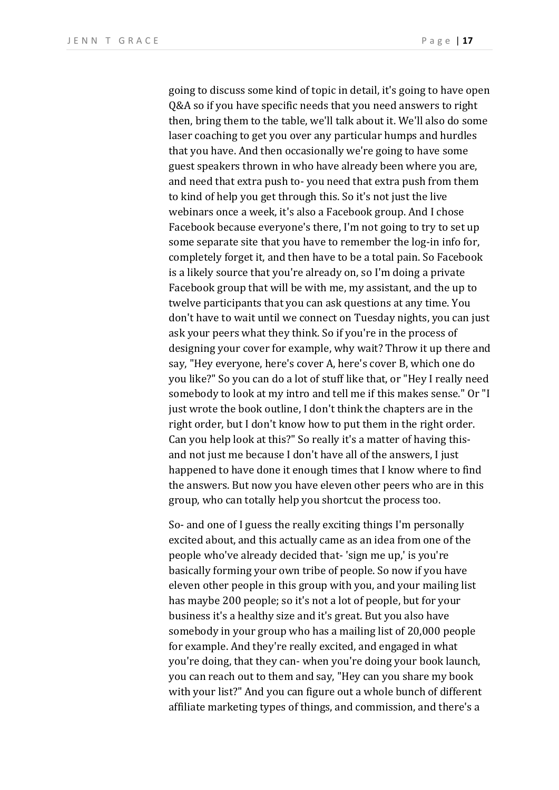going to discuss some kind of topic in detail, it's going to have open Q&A so if you have specific needs that you need answers to right then, bring them to the table, we'll talk about it. We'll also do some laser coaching to get you over any particular humps and hurdles that you have. And then occasionally we're going to have some guest speakers thrown in who have already been where you are, and need that extra push to- you need that extra push from them to kind of help you get through this. So it's not just the live webinars once a week, it's also a Facebook group. And I chose Facebook because everyone's there, I'm not going to try to set up some separate site that you have to remember the log-in info for, completely forget it, and then have to be a total pain. So Facebook is a likely source that you're already on, so I'm doing a private Facebook group that will be with me, my assistant, and the up to twelve participants that you can ask questions at any time. You don't have to wait until we connect on Tuesday nights, you can just ask your peers what they think. So if you're in the process of designing your cover for example, why wait? Throw it up there and say, "Hey everyone, here's cover A, here's cover B, which one do you like?" So you can do a lot of stuff like that, or "Hey I really need somebody to look at my intro and tell me if this makes sense." Or "I just wrote the book outline, I don't think the chapters are in the right order, but I don't know how to put them in the right order. Can you help look at this?" So really it's a matter of having thisand not just me because I don't have all of the answers, I just happened to have done it enough times that I know where to find the answers. But now you have eleven other peers who are in this group, who can totally help you shortcut the process too.

So- and one of I guess the really exciting things I'm personally excited about, and this actually came as an idea from one of the people who've already decided that-'sign me up,' is you're basically forming your own tribe of people. So now if you have eleven other people in this group with you, and your mailing list has maybe 200 people; so it's not a lot of people, but for your business it's a healthy size and it's great. But you also have somebody in your group who has a mailing list of 20,000 people for example. And they're really excited, and engaged in what you're doing, that they can- when you're doing your book launch, you can reach out to them and say, "Hey can you share my book with your list?" And you can figure out a whole bunch of different affiliate marketing types of things, and commission, and there's a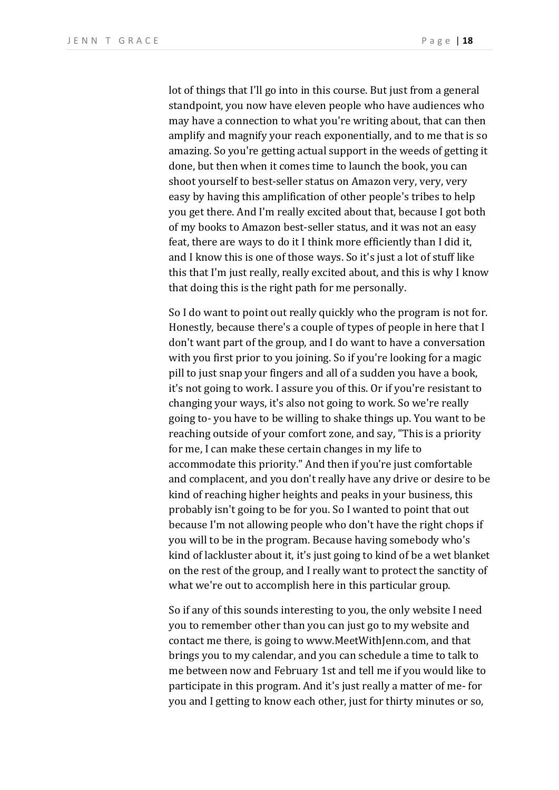lot of things that I'll go into in this course. But just from a general standpoint, you now have eleven people who have audiences who may have a connection to what you're writing about, that can then amplify and magnify your reach exponentially, and to me that is so amazing. So you're getting actual support in the weeds of getting it done, but then when it comes time to launch the book, you can shoot yourself to best-seller status on Amazon very, very, very easy by having this amplification of other people's tribes to help you get there. And I'm really excited about that, because I got both of my books to Amazon best-seller status, and it was not an easy feat, there are ways to do it I think more efficiently than I did it, and I know this is one of those ways. So it's just a lot of stuff like this that I'm just really, really excited about, and this is why I know that doing this is the right path for me personally.

So I do want to point out really quickly who the program is not for. Honestly, because there's a couple of types of people in here that I don't want part of the group, and I do want to have a conversation with you first prior to you joining. So if you're looking for a magic pill to just snap your fingers and all of a sudden you have a book, it's not going to work. I assure you of this. Or if you're resistant to changing your ways, it's also not going to work. So we're really going to- you have to be willing to shake things up. You want to be reaching outside of your comfort zone, and say, "This is a priority for me, I can make these certain changes in my life to accommodate this priority." And then if you're just comfortable and complacent, and you don't really have any drive or desire to be kind of reaching higher heights and peaks in your business, this probably isn't going to be for you. So I wanted to point that out because I'm not allowing people who don't have the right chops if you will to be in the program. Because having somebody who's kind of lackluster about it, it's just going to kind of be a wet blanket on the rest of the group, and I really want to protect the sanctity of what we're out to accomplish here in this particular group.

So if any of this sounds interesting to you, the only website I need you to remember other than you can just go to my website and contact me there, is going to www.MeetWithJenn.com, and that brings you to my calendar, and you can schedule a time to talk to me between now and February 1st and tell me if you would like to participate in this program. And it's just really a matter of me-for you and I getting to know each other, just for thirty minutes or so,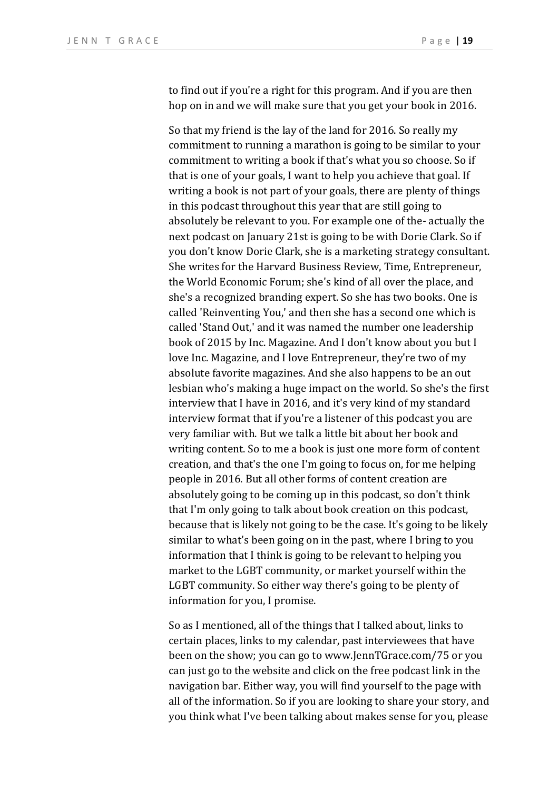to find out if you're a right for this program. And if you are then hop on in and we will make sure that you get your book in 2016.

So that my friend is the lay of the land for 2016. So really my commitment to running a marathon is going to be similar to your commitment to writing a book if that's what you so choose. So if that is one of your goals, I want to help you achieve that goal. If writing a book is not part of your goals, there are plenty of things in this podcast throughout this year that are still going to absolutely be relevant to you. For example one of the-actually the next podcast on January 21st is going to be with Dorie Clark. So if you don't know Dorie Clark, she is a marketing strategy consultant. She writes for the Harvard Business Review, Time, Entrepreneur, the World Economic Forum; she's kind of all over the place, and she's a recognized branding expert. So she has two books. One is called 'Reinventing You,' and then she has a second one which is called 'Stand Out,' and it was named the number one leadership book of 2015 by Inc. Magazine. And I don't know about you but I love Inc. Magazine, and I love Entrepreneur, they're two of my absolute favorite magazines. And she also happens to be an out lesbian who's making a huge impact on the world. So she's the first interview that I have in 2016, and it's very kind of my standard interview format that if you're a listener of this podcast you are very familiar with. But we talk a little bit about her book and writing content. So to me a book is just one more form of content creation, and that's the one I'm going to focus on, for me helping people in 2016. But all other forms of content creation are absolutely going to be coming up in this podcast, so don't think that I'm only going to talk about book creation on this podcast, because that is likely not going to be the case. It's going to be likely similar to what's been going on in the past, where I bring to you information that I think is going to be relevant to helping you market to the LGBT community, or market yourself within the LGBT community. So either way there's going to be plenty of information for you, I promise.

So as I mentioned, all of the things that I talked about, links to certain places, links to my calendar, past interviewees that have been on the show; you can go to www.JennTGrace.com/75 or you can just go to the website and click on the free podcast link in the navigation bar. Either way, you will find yourself to the page with all of the information. So if you are looking to share your story, and you think what I've been talking about makes sense for you, please